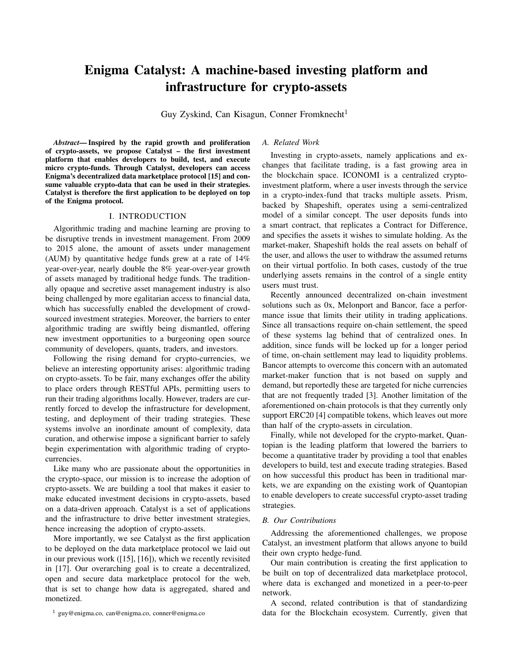# Enigma Catalyst: A machine-based investing platform and infrastructure for crypto-assets

Guy Zyskind, Can Kisagun, Conner Fromknecht<sup>1</sup>

*Abstract*— Inspired by the rapid growth and proliferation of crypto-assets, we propose Catalyst – the first investment platform that enables developers to build, test, and execute micro crypto-funds. Through Catalyst, developers can access Enigma's decentralized data marketplace protocol [15] and consume valuable crypto-data that can be used in their strategies. Catalyst is therefore the first application to be deployed on top of the Enigma protocol.

## I. INTRODUCTION

Algorithmic trading and machine learning are proving to be disruptive trends in investment management. From 2009 to 2015 alone, the amount of assets under management (AUM) by quantitative hedge funds grew at a rate of 14% year-over-year, nearly double the 8% year-over-year growth of assets managed by traditional hedge funds. The traditionally opaque and secretive asset management industry is also being challenged by more egalitarian access to financial data, which has successfully enabled the development of crowdsourced investment strategies. Moreover, the barriers to enter algorithmic trading are swiftly being dismantled, offering new investment opportunities to a burgeoning open source community of developers, quants, traders, and investors.

Following the rising demand for crypto-currencies, we believe an interesting opportunity arises: algorithmic trading on crypto-assets. To be fair, many exchanges offer the ability to place orders through RESTful APIs, permitting users to run their trading algorithms locally. However, traders are currently forced to develop the infrastructure for development, testing, and deployment of their trading strategies. These systems involve an inordinate amount of complexity, data curation, and otherwise impose a significant barrier to safely begin experimentation with algorithmic trading of cryptocurrencies.

Like many who are passionate about the opportunities in the crypto-space, our mission is to increase the adoption of crypto-assets. We are building a tool that makes it easier to make educated investment decisions in crypto-assets, based on a data-driven approach. Catalyst is a set of applications and the infrastructure to drive better investment strategies, hence increasing the adoption of crypto-assets.

More importantly, we see Catalyst as the first application to be deployed on the data marketplace protocol we laid out in our previous work ([15], [16]), which we recently revisited in [17]. Our overarching goal is to create a decentralized, open and secure data marketplace protocol for the web, that is set to change how data is aggregated, shared and monetized.

## *A. Related Work*

Investing in crypto-assets, namely applications and exchanges that facilitate trading, is a fast growing area in the blockchain space. ICONOMI is a centralized cryptoinvestment platform, where a user invests through the service in a crypto-index-fund that tracks multiple assets. Prism, backed by Shapeshift, operates using a semi-centralized model of a similar concept. The user deposits funds into a smart contract, that replicates a Contract for Difference, and specifies the assets it wishes to simulate holding. As the market-maker, Shapeshift holds the real assets on behalf of the user, and allows the user to withdraw the assumed returns on their virtual portfolio. In both cases, custody of the true underlying assets remains in the control of a single entity users must trust.

Recently announced decentralized on-chain investment solutions such as 0x, Melonport and Bancor, face a performance issue that limits their utility in trading applications. Since all transactions require on-chain settlement, the speed of these systems lag behind that of centralized ones. In addition, since funds will be locked up for a longer period of time, on-chain settlement may lead to liquidity problems. Bancor attempts to overcome this concern with an automated market-maker function that is not based on supply and demand, but reportedly these are targeted for niche currencies that are not frequently traded [3]. Another limitation of the aforementioned on-chain protocols is that they currently only support ERC20 [4] compatible tokens, which leaves out more than half of the crypto-assets in circulation.

Finally, while not developed for the crypto-market, Quantopian is the leading platform that lowered the barriers to become a quantitative trader by providing a tool that enables developers to build, test and execute trading strategies. Based on how successful this product has been in traditional markets, we are expanding on the existing work of Quantopian to enable developers to create successful crypto-asset trading strategies.

#### *B. Our Contributions*

Addressing the aforementioned challenges, we propose Catalyst, an investment platform that allows anyone to build their own crypto hedge-fund.

Our main contribution is creating the first application to be built on top of decentralized data marketplace protocol, where data is exchanged and monetized in a peer-to-peer network.

A second, related contribution is that of standardizing data for the Blockchain ecosystem. Currently, given that

<sup>1</sup> guy@enigma.co, can@enigma.co, conner@enigma.co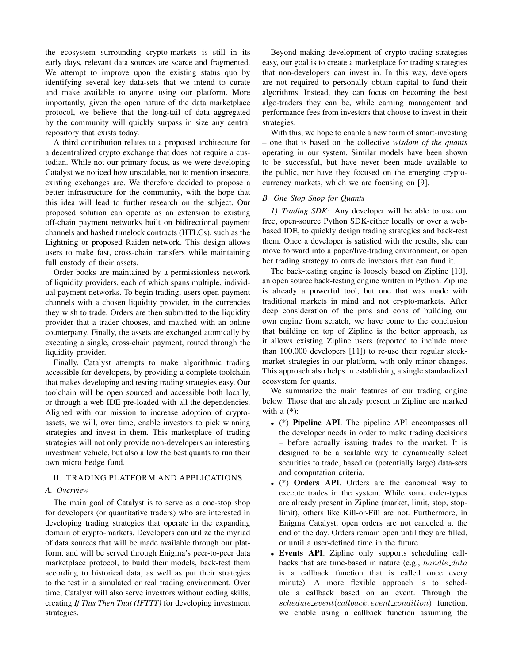the ecosystem surrounding crypto-markets is still in its early days, relevant data sources are scarce and fragmented. We attempt to improve upon the existing status quo by identifying several key data-sets that we intend to curate and make available to anyone using our platform. More importantly, given the open nature of the data marketplace protocol, we believe that the long-tail of data aggregated by the community will quickly surpass in size any central repository that exists today.

A third contribution relates to a proposed architecture for a decentralized crypto exchange that does not require a custodian. While not our primary focus, as we were developing Catalyst we noticed how unscalable, not to mention insecure, existing exchanges are. We therefore decided to propose a better infrastructure for the community, with the hope that this idea will lead to further research on the subject. Our proposed solution can operate as an extension to existing off-chain payment networks built on bidirectional payment channels and hashed timelock contracts (HTLCs), such as the Lightning or proposed Raiden network. This design allows users to make fast, cross-chain transfers while maintaining full custody of their assets.

Order books are maintained by a permissionless network of liquidity providers, each of which spans multiple, individual payment networks. To begin trading, users open payment channels with a chosen liquidity provider, in the currencies they wish to trade. Orders are then submitted to the liquidity provider that a trader chooses, and matched with an online counterparty. Finally, the assets are exchanged atomically by executing a single, cross-chain payment, routed through the liquidity provider.

Finally, Catalyst attempts to make algorithmic trading accessible for developers, by providing a complete toolchain that makes developing and testing trading strategies easy. Our toolchain will be open sourced and accessible both locally, or through a web IDE pre-loaded with all the dependencies. Aligned with our mission to increase adoption of cryptoassets, we will, over time, enable investors to pick winning strategies and invest in them. This marketplace of trading strategies will not only provide non-developers an interesting investment vehicle, but also allow the best quants to run their own micro hedge fund.

# II. TRADING PLATFORM AND APPLICATIONS

## *A. Overview*

The main goal of Catalyst is to serve as a one-stop shop for developers (or quantitative traders) who are interested in developing trading strategies that operate in the expanding domain of crypto-markets. Developers can utilize the myriad of data sources that will be made available through our platform, and will be served through Enigma's peer-to-peer data marketplace protocol, to build their models, back-test them according to historical data, as well as put their strategies to the test in a simulated or real trading environment. Over time, Catalyst will also serve investors without coding skills, creating *If This Then That (IFTTT)* for developing investment strategies.

Beyond making development of crypto-trading strategies easy, our goal is to create a marketplace for trading strategies that non-developers can invest in. In this way, developers are not required to personally obtain capital to fund their algorithms. Instead, they can focus on becoming the best algo-traders they can be, while earning management and performance fees from investors that choose to invest in their strategies.

With this, we hope to enable a new form of smart-investing – one that is based on the collective *wisdom of the quants* operating in our system. Similar models have been shown to be successful, but have never been made available to the public, nor have they focused on the emerging cryptocurrency markets, which we are focusing on [9].

# *B. One Stop Shop for Quants*

*1) Trading SDK:* Any developer will be able to use our free, open-source Python SDK-either locally or over a webbased IDE, to quickly design trading strategies and back-test them. Once a developer is satisfied with the results, she can move forward into a paper/live-trading environment, or open her trading strategy to outside investors that can fund it.

The back-testing engine is loosely based on Zipline [10], an open source back-testing engine written in Python. Zipline is already a powerful tool, but one that was made with traditional markets in mind and not crypto-markets. After deep consideration of the pros and cons of building our own engine from scratch, we have come to the conclusion that building on top of Zipline is the better approach, as it allows existing Zipline users (reported to include more than 100,000 developers [11]) to re-use their regular stockmarket strategies in our platform, with only minor changes. This approach also helps in establishing a single standardized ecosystem for quants.

We summarize the main features of our trading engine below. Those that are already present in Zipline are marked with a  $(*)$ :

- (\*) Pipeline API. The pipeline API encompasses all the developer needs in order to make trading decisions – before actually issuing trades to the market. It is designed to be a scalable way to dynamically select securities to trade, based on (potentially large) data-sets and computation criteria.
- (\*) Orders API. Orders are the canonical way to execute trades in the system. While some order-types are already present in Zipline (market, limit, stop, stoplimit), others like Kill-or-Fill are not. Furthermore, in Enigma Catalyst, open orders are not canceled at the end of the day. Orders remain open until they are filled, or until a user-defined time in the future.
- Events API. Zipline only supports scheduling callbacks that are time-based in nature (e.g., handle\_data is a callback function that is called once every minute). A more flexible approach is to schedule a callback based on an event. Through the  $schedule\_event(callback, event\_condition)$  function, we enable using a callback function assuming the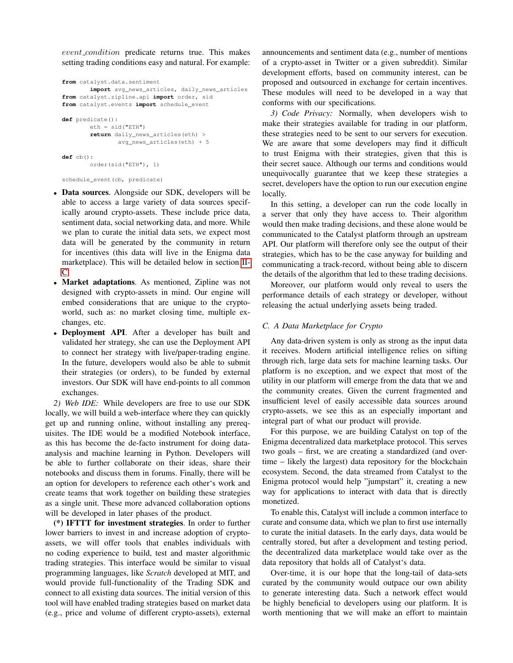event\_condition predicate returns true. This makes setting trading conditions easy and natural. For example:

```
from catalyst.data.sentiment
       import avg_news_articles, daily_news_articles
from catalyst.zipline.api import order, sid
from catalyst.events import schedule_event
def predicate():
       eth = sid('ETH")return daily_news_articles(eth) >
               avg_news_articles(eth) + 5
def cb():
       order(sid("ETH"), 1)
schedule_event(cb, predicate)
```
- Data sources. Alongside our SDK, developers will be able to access a large variety of data sources specifically around crypto-assets. These include price data, sentiment data, social networking data, and more. While we plan to curate the initial data sets, we expect most data will be generated by the community in return for incentives (this data will live in the Enigma data marketplace). This will be detailed below in section [II-](#page-2-0)[C.](#page-2-0)
- Market adaptations. As mentioned, Zipline was not designed with crypto-assets in mind. Our engine will embed considerations that are unique to the cryptoworld, such as: no market closing time, multiple exchanges, etc.
- Deployment API. After a developer has built and validated her strategy, she can use the Deployment API to connect her strategy with live/paper-trading engine. In the future, developers would also be able to submit their strategies (or orders), to be funded by external investors. Our SDK will have end-points to all common exchanges.

*2) Web IDE:* While developers are free to use our SDK locally, we will build a web-interface where they can quickly get up and running online, without installing any prerequisites. The IDE would be a modified Notebook interface, as this has become the de-facto instrument for doing dataanalysis and machine learning in Python. Developers will be able to further collaborate on their ideas, share their notebooks and discuss them in forums. Finally, there will be an option for developers to reference each other's work and create teams that work together on building these strategies as a single unit. These more advanced collaboration options will be developed in later phases of the product.

(\*) IFTTT for investment strategies. In order to further lower barriers to invest in and increase adoption of cryptoassets, we will offer tools that enables individuals with no coding experience to build, test and master algorithmic trading strategies. This interface would be similar to visual programming languages, like *Scratch* developed at MIT, and would provide full-functionality of the Trading SDK and connect to all existing data sources. The initial version of this tool will have enabled trading strategies based on market data (e.g., price and volume of different crypto-assets), external announcements and sentiment data (e.g., number of mentions of a crypto-asset in Twitter or a given subreddit). Similar development efforts, based on community interest, can be proposed and outsourced in exchange for certain incentives. These modules will need to be developed in a way that conforms with our specifications.

*3) Code Privacy:* Normally, when developers wish to make their strategies available for trading in our platform, these strategies need to be sent to our servers for execution. We are aware that some developers may find it difficult to trust Enigma with their strategies, given that this is their secret sauce. Although our terms and conditions would unequivocally guarantee that we keep these strategies a secret, developers have the option to run our execution engine locally.

In this setting, a developer can run the code locally in a server that only they have access to. Their algorithm would then make trading decisions, and these alone would be communicated to the Catalyst platform through an upstream API. Our platform will therefore only see the output of their strategies, which has to be the case anyway for building and communicating a track-record, without being able to discern the details of the algorithm that led to these trading decisions.

Moreover, our platform would only reveal to users the performance details of each strategy or developer, without releasing the actual underlying assets being traded.

# <span id="page-2-0"></span>*C. A Data Marketplace for Crypto*

Any data-driven system is only as strong as the input data it receives. Modern artificial intelligence relies on sifting through rich, large data sets for machine learning tasks. Our platform is no exception, and we expect that most of the utility in our platform will emerge from the data that we and the community creates. Given the current fragmented and insufficient level of easily accessible data sources around crypto-assets, we see this as an especially important and integral part of what our product will provide.

For this purpose, we are building Catalyst on top of the Enigma decentralized data marketplace protocol. This serves two goals – first, we are creating a standardized (and overtime – likely the largest) data repository for the blockchain ecosystem. Second, the data streamed from Catalyst to the Enigma protocol would help "jumpstart" it, creating a new way for applications to interact with data that is directly monetized.

To enable this, Catalyst will include a common interface to curate and consume data, which we plan to first use internally to curate the initial datasets. In the early days, data would be centrally stored, but after a development and testing period, the decentralized data marketplace would take over as the data repository that holds all of Catalyst's data.

Over-time, it is our hope that the long-tail of data-sets curated by the community would outpace our own ability to generate interesting data. Such a network effect would be highly beneficial to developers using our platform. It is worth mentioning that we will make an effort to maintain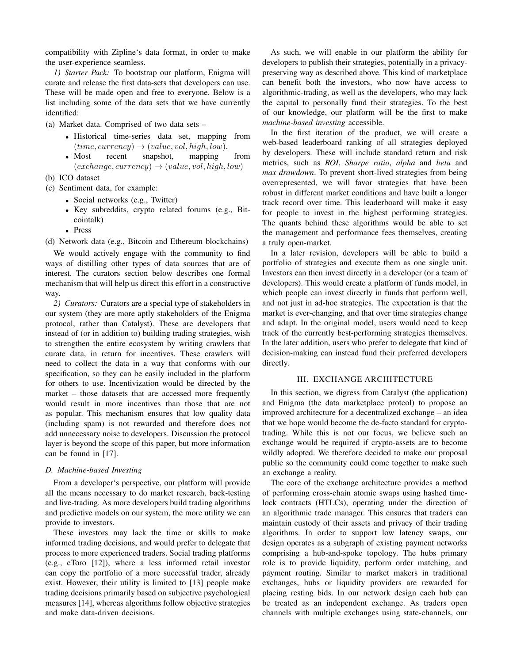compatibility with Zipline's data format, in order to make the user-experience seamless.

*1) Starter Pack:* To bootstrap our platform, Enigma will curate and release the first data-sets that developers can use. These will be made open and free to everyone. Below is a list including some of the data sets that we have currently identified:

(a) Market data. Comprised of two data sets –

- Historical time-series data set, mapping from  $(time, currency) \rightarrow (value, vol, high, low).$
- Most recent snapshot, mapping from  $(exchange, currency) \rightarrow (value, vol, high, low)$
- (b) ICO dataset
- (c) Sentiment data, for example:
	- Social networks (e.g., Twitter)
	- Key subreddits, crypto related forums (e.g., Bitcointalk)
	- Press

(d) Network data (e.g., Bitcoin and Ethereum blockchains)

We would actively engage with the community to find ways of distilling other types of data sources that are of interest. The curators section below describes one formal mechanism that will help us direct this effort in a constructive way.

*2) Curators:* Curators are a special type of stakeholders in our system (they are more aptly stakeholders of the Enigma protocol, rather than Catalyst). These are developers that instead of (or in addition to) building trading strategies, wish to strengthen the entire ecosystem by writing crawlers that curate data, in return for incentives. These crawlers will need to collect the data in a way that conforms with our specification, so they can be easily included in the platform for others to use. Incentivization would be directed by the market – those datasets that are accessed more frequently would result in more incentives than those that are not as popular. This mechanism ensures that low quality data (including spam) is not rewarded and therefore does not add unnecessary noise to developers. Discussion the protocol layer is beyond the scope of this paper, but more information can be found in [17].

# *D. Machine-based Investing*

From a developer's perspective, our platform will provide all the means necessary to do market research, back-testing and live-trading. As more developers build trading algorithms and predictive models on our system, the more utility we can provide to investors.

These investors may lack the time or skills to make informed trading decisions, and would prefer to delegate that process to more experienced traders. Social trading platforms (e.g., eToro [12]), where a less informed retail investor can copy the portfolio of a more successful trader, already exist. However, their utility is limited to [13] people make trading decisions primarily based on subjective psychological measures [14], whereas algorithms follow objective strategies and make data-driven decisions.

As such, we will enable in our platform the ability for developers to publish their strategies, potentially in a privacypreserving way as described above. This kind of marketplace can benefit both the investors, who now have access to algorithmic-trading, as well as the developers, who may lack the capital to personally fund their strategies. To the best of our knowledge, our platform will be the first to make *machine-based investing* accessible.

In the first iteration of the product, we will create a web-based leaderboard ranking of all strategies deployed by developers. These will include standard return and risk metrics, such as *ROI*, *Sharpe ratio*, *alpha* and *beta* and *max drawdown*. To prevent short-lived strategies from being overrepresented, we will favor strategies that have been robust in different market conditions and have built a longer track record over time. This leaderboard will make it easy for people to invest in the highest performing strategies. The quants behind these algorithms would be able to set the management and performance fees themselves, creating a truly open-market.

In a later revision, developers will be able to build a portfolio of strategies and execute them as one single unit. Investors can then invest directly in a developer (or a team of developers). This would create a platform of funds model, in which people can invest directly in funds that perform well, and not just in ad-hoc strategies. The expectation is that the market is ever-changing, and that over time strategies change and adapt. In the original model, users would need to keep track of the currently best-performing strategies themselves. In the later addition, users who prefer to delegate that kind of decision-making can instead fund their preferred developers directly.

## III. EXCHANGE ARCHITECTURE

In this section, we digress from Catalyst (the application) and Enigma (the data marketplace protcol) to propose an improved architecture for a decentralized exchange – an idea that we hope would become the de-facto standard for cryptotrading. While this is not our focus, we believe such an exchange would be required if crypto-assets are to become wildly adopted. We therefore decided to make our proposal public so the community could come together to make such an exchange a reality.

The core of the exchange architecture provides a method of performing cross-chain atomic swaps using hashed timelock contracts (HTLCs), operating under the direction of an algorithmic trade manager. This ensures that traders can maintain custody of their assets and privacy of their trading algorithms. In order to support low latency swaps, our design operates as a subgraph of existing payment networks comprising a hub-and-spoke topology. The hubs primary role is to provide liquidity, perform order matching, and payment routing. Similar to market makers in traditional exchanges, hubs or liquidity providers are rewarded for placing resting bids. In our network design each hub can be treated as an independent exchange. As traders open channels with multiple exchanges using state-channels, our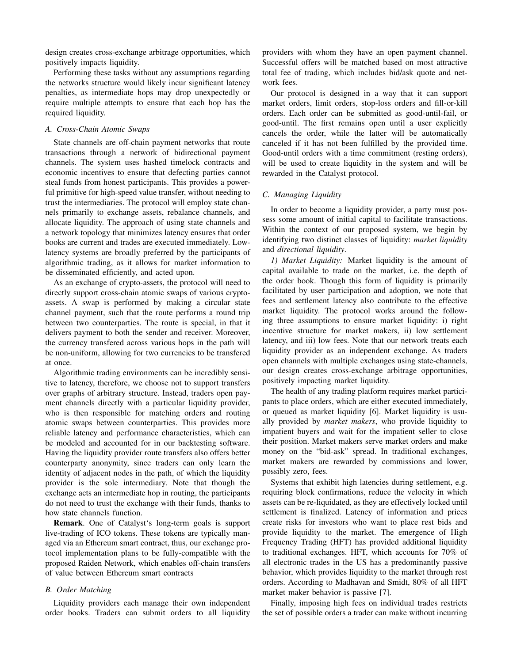design creates cross-exchange arbitrage opportunities, which positively impacts liquidity.

Performing these tasks without any assumptions regarding the networks structure would likely incur significant latency penalties, as intermediate hops may drop unexpectedly or require multiple attempts to ensure that each hop has the required liquidity.

## *A. Cross-Chain Atomic Swaps*

State channels are off-chain payment networks that route transactions through a network of bidirectional payment channels. The system uses hashed timelock contracts and economic incentives to ensure that defecting parties cannot steal funds from honest participants. This provides a powerful primitive for high-speed value transfer, without needing to trust the intermediaries. The protocol will employ state channels primarily to exchange assets, rebalance channels, and allocate liquidity. The approach of using state channels and a network topology that minimizes latency ensures that order books are current and trades are executed immediately. Lowlatency systems are broadly preferred by the participants of algorithmic trading, as it allows for market information to be disseminated efficiently, and acted upon.

As an exchange of crypto-assets, the protocol will need to directly support cross-chain atomic swaps of various cryptoassets. A swap is performed by making a circular state channel payment, such that the route performs a round trip between two counterparties. The route is special, in that it delivers payment to both the sender and receiver. Moreover, the currency transfered across various hops in the path will be non-uniform, allowing for two currencies to be transfered at once.

Algorithmic trading environments can be incredibly sensitive to latency, therefore, we choose not to support transfers over graphs of arbitrary structure. Instead, traders open payment channels directly with a particular liquidity provider, who is then responsible for matching orders and routing atomic swaps between counterparties. This provides more reliable latency and performance characteristics, which can be modeled and accounted for in our backtesting software. Having the liquidity provider route transfers also offers better counterparty anonymity, since traders can only learn the identity of adjacent nodes in the path, of which the liquidity provider is the sole intermediary. Note that though the exchange acts an intermediate hop in routing, the participants do not need to trust the exchange with their funds, thanks to how state channels function.

Remark. One of Catalyst's long-term goals is support live-trading of ICO tokens. These tokens are typically managed via an Ethereum smart contract, thus, our exchange protocol implementation plans to be fully-compatible with the proposed Raiden Network, which enables off-chain transfers of value between Ethereum smart contracts

## *B. Order Matching*

Liquidity providers each manage their own independent order books. Traders can submit orders to all liquidity providers with whom they have an open payment channel. Successful offers will be matched based on most attractive total fee of trading, which includes bid/ask quote and network fees.

Our protocol is designed in a way that it can support market orders, limit orders, stop-loss orders and fill-or-kill orders. Each order can be submitted as good-until-fail, or good-until. The first remains open until a user explicitly cancels the order, while the latter will be automatically canceled if it has not been fulfilled by the provided time. Good-until orders with a time commitment (resting orders), will be used to create liquidity in the system and will be rewarded in the Catalyst protocol.

### *C. Managing Liquidity*

In order to become a liquidity provider, a party must possess some amount of initial capital to facilitate transactions. Within the context of our proposed system, we begin by identifying two distinct classes of liquidity: *market liquidity* and *directional liquidity*.

*1) Market Liquidity:* Market liquidity is the amount of capital available to trade on the market, i.e. the depth of the order book. Though this form of liquidity is primarily facilitated by user participation and adoption, we note that fees and settlement latency also contribute to the effective market liquidity. The protocol works around the following three assumptions to ensure market liquidity: i) right incentive structure for market makers, ii) low settlement latency, and iii) low fees. Note that our network treats each liquidity provider as an independent exchange. As traders open channels with multiple exchanges using state-channels, our design creates cross-exchange arbitrage opportunities, positively impacting market liquidity.

The health of any trading platform requires market participants to place orders, which are either executed immediately, or queued as market liquidity [6]. Market liquidity is usually provided by *market makers*, who provide liquidity to impatient buyers and wait for the impatient seller to close their position. Market makers serve market orders and make money on the "bid-ask" spread. In traditional exchanges, market makers are rewarded by commissions and lower, possibly zero, fees.

Systems that exhibit high latencies during settlement, e.g. requiring block confirmations, reduce the velocity in which assets can be re-liquidated, as they are effectively locked until settlement is finalized. Latency of information and prices create risks for investors who want to place rest bids and provide liquidity to the market. The emergence of High Frequency Trading (HFT) has provided additional liquidity to traditional exchanges. HFT, which accounts for 70% of all electronic trades in the US has a predominantly passive behavior, which provides liquidity to the market through rest orders. According to Madhavan and Smidt, 80% of all HFT market maker behavior is passive [7].

Finally, imposing high fees on individual trades restricts the set of possible orders a trader can make without incurring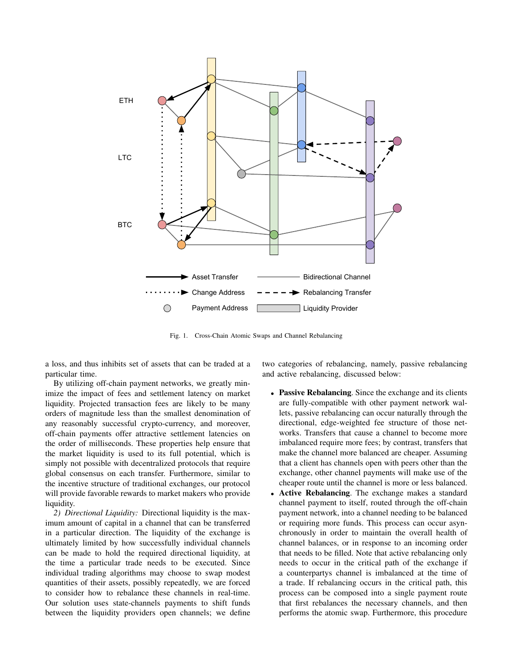

Fig. 1. Cross-Chain Atomic Swaps and Channel Rebalancing

a loss, and thus inhibits set of assets that can be traded at a particular time.

By utilizing off-chain payment networks, we greatly minimize the impact of fees and settlement latency on market liquidity. Projected transaction fees are likely to be many orders of magnitude less than the smallest denomination of any reasonably successful crypto-currency, and moreover, off-chain payments offer attractive settlement latencies on the order of milliseconds. These properties help ensure that the market liquidity is used to its full potential, which is simply not possible with decentralized protocols that require global consensus on each transfer. Furthermore, similar to the incentive structure of traditional exchanges, our protocol will provide favorable rewards to market makers who provide liquidity.

*2) Directional Liquidity:* Directional liquidity is the maximum amount of capital in a channel that can be transferred in a particular direction. The liquidity of the exchange is ultimately limited by how successfully individual channels can be made to hold the required directional liquidity, at the time a particular trade needs to be executed. Since individual trading algorithms may choose to swap modest quantities of their assets, possibly repeatedly, we are forced to consider how to rebalance these channels in real-time. Our solution uses state-channels payments to shift funds between the liquidity providers open channels; we define two categories of rebalancing, namely, passive rebalancing and active rebalancing, discussed below:

- Passive Rebalancing. Since the exchange and its clients are fully-compatible with other payment network wallets, passive rebalancing can occur naturally through the directional, edge-weighted fee structure of those networks. Transfers that cause a channel to become more imbalanced require more fees; by contrast, transfers that make the channel more balanced are cheaper. Assuming that a client has channels open with peers other than the exchange, other channel payments will make use of the cheaper route until the channel is more or less balanced.
- Active Rebalancing. The exchange makes a standard channel payment to itself, routed through the off-chain payment network, into a channel needing to be balanced or requiring more funds. This process can occur asynchronously in order to maintain the overall health of channel balances, or in response to an incoming order that needs to be filled. Note that active rebalancing only needs to occur in the critical path of the exchange if a counterpartys channel is imbalanced at the time of a trade. If rebalancing occurs in the critical path, this process can be composed into a single payment route that first rebalances the necessary channels, and then performs the atomic swap. Furthermore, this procedure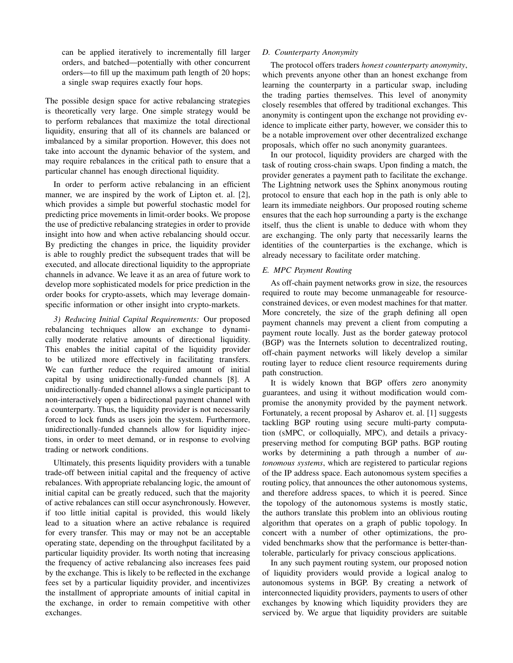can be applied iteratively to incrementally fill larger orders, and batched—potentially with other concurrent orders—to fill up the maximum path length of 20 hops; a single swap requires exactly four hops.

The possible design space for active rebalancing strategies is theoretically very large. One simple strategy would be to perform rebalances that maximize the total directional liquidity, ensuring that all of its channels are balanced or imbalanced by a similar proportion. However, this does not take into account the dynamic behavior of the system, and may require rebalances in the critical path to ensure that a particular channel has enough directional liquidity.

In order to perform active rebalancing in an efficient manner, we are inspired by the work of Lipton et. al. [2], which provides a simple but powerful stochastic model for predicting price movements in limit-order books. We propose the use of predictive rebalancing strategies in order to provide insight into how and when active rebalancing should occur. By predicting the changes in price, the liquidity provider is able to roughly predict the subsequent trades that will be executed, and allocate directional liquidity to the appropriate channels in advance. We leave it as an area of future work to develop more sophisticated models for price prediction in the order books for crypto-assets, which may leverage domainspecific information or other insight into crypto-markets.

*3) Reducing Initial Capital Requirements:* Our proposed rebalancing techniques allow an exchange to dynamically moderate relative amounts of directional liquidity. This enables the initial capital of the liquidity provider to be utilized more effectively in facilitating transfers. We can further reduce the required amount of initial capital by using unidirectionally-funded channels [8]. A unidirectionally-funded channel allows a single participant to non-interactively open a bidirectional payment channel with a counterparty. Thus, the liquidity provider is not necessarily forced to lock funds as users join the system. Furthermore, unidirectionally-funded channels allow for liquidity injections, in order to meet demand, or in response to evolving trading or network conditions.

Ultimately, this presents liquidity providers with a tunable trade-off between initial capital and the frequency of active rebalances. With appropriate rebalancing logic, the amount of initial capital can be greatly reduced, such that the majority of active rebalances can still occur asynchronously. However, if too little initial capital is provided, this would likely lead to a situation where an active rebalance is required for every transfer. This may or may not be an acceptable operating state, depending on the throughput facilitated by a particular liquidity provider. Its worth noting that increasing the frequency of active rebalancing also increases fees paid by the exchange. This is likely to be reflected in the exchange fees set by a particular liquidity provider, and incentivizes the installment of appropriate amounts of initial capital in the exchange, in order to remain competitive with other exchanges.

# *D. Counterparty Anonymity*

The protocol offers traders *honest counterparty anonymity*, which prevents anyone other than an honest exchange from learning the counterparty in a particular swap, including the trading parties themselves. This level of anonymity closely resembles that offered by traditional exchanges. This anonymity is contingent upon the exchange not providing evidence to implicate either party, however, we consider this to be a notable improvement over other decentralized exchange proposals, which offer no such anonymity guarantees.

In our protocol, liquidity providers are charged with the task of routing cross-chain swaps. Upon finding a match, the provider generates a payment path to facilitate the exchange. The Lightning network uses the Sphinx anonymous routing protocol to ensure that each hop in the path is only able to learn its immediate neighbors. Our proposed routing scheme ensures that the each hop surrounding a party is the exchange itself, thus the client is unable to deduce with whom they are exchanging. The only party that necessarily learns the identities of the counterparties is the exchange, which is already necessary to facilitate order matching.

# *E. MPC Payment Routing*

As off-chain payment networks grow in size, the resources required to route may become unmanageable for resourceconstrained devices, or even modest machines for that matter. More concretely, the size of the graph defining all open payment channels may prevent a client from computing a payment route locally. Just as the border gateway protocol (BGP) was the Internets solution to decentralized routing, off-chain payment networks will likely develop a similar routing layer to reduce client resource requirements during path construction.

It is widely known that BGP offers zero anonymity guarantees, and using it without modification would compromise the anonymity provided by the payment network. Fortunately, a recent proposal by Asharov et. al. [1] suggests tackling BGP routing using secure multi-party computation (sMPC, or colloquially, MPC), and details a privacypreserving method for computing BGP paths. BGP routing works by determining a path through a number of *autonomous systems*, which are registered to particular regions of the IP address space. Each autonomous system specifies a routing policy, that announces the other autonomous systems, and therefore address spaces, to which it is peered. Since the topology of the autonomous systems is mostly static, the authors translate this problem into an oblivious routing algorithm that operates on a graph of public topology. In concert with a number of other optimizations, the provided benchmarks show that the performance is better-thantolerable, particularly for privacy conscious applications.

In any such payment routing system, our proposed notion of liquidity providers would provide a logical analog to autonomous systems in BGP. By creating a network of interconnected liquidity providers, payments to users of other exchanges by knowing which liquidity providers they are serviced by. We argue that liquidity providers are suitable